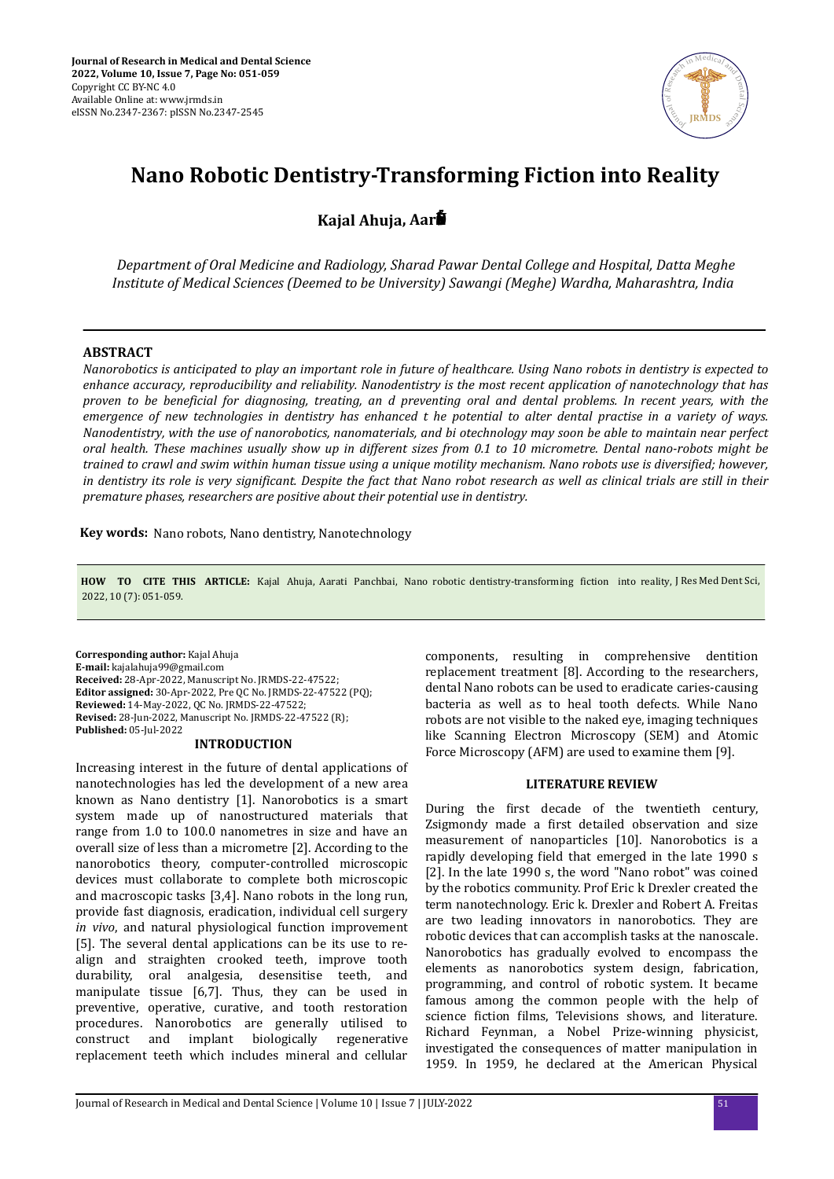

# **Nano Robotic Dentistry-Transforming Fiction into Reality**

**Kajal Ahuja, Aarati Panchbai\***

*Department of Oral Medicine and Radiology, Sharad Pawar Dental College and Hospital, Datta Meghe Institute of Medical Sciences (Deemed to be University) Sawangi (Meghe) Wardha, Maharashtra, India*

#### **ABSTRACT**

*Nanorobotics is anticipated to play an important role in future of healthcare. Using Nano robots in dentistry is expected to enhance accuracy, reproducibility and reliability. Nanodentistry is the most recent application of nanotechnology that has proven to be beneficial for diagnosing, treating, an d preventing oral and dental problems. In recent years, with the emergence of new technologies in dentistry has enhanced t he potential to alter dental practise in a variety of ways. Nanodentistry, with the use of nanorobotics, nanomaterials, and bi otechnology may soon be able to maintain near perfect oral health. These machines usually show up in different sizes from 0.1 to 10 micrometre. Dental nano-robots might be trained to crawl and swim within human tissue using a unique motility mechanism. Nano robots use is diversified; however, in dentistry its role is very significant. Despite the fact that Nano robot research as well as clinical trials are still in their premature phases, researchers are positive about their potential use in dentistry.*

**Key words:** Nano robots, Nano dentistry, Nanotechnology

**HOW TO CITE THIS ARTICLE:** Kajal Ahuja, Aarati Panchbai, Nano robotic dentistry-transforming fiction into reality, J Res Med Dent Sci, 2022, 10 (7): 051-059.

**Corresponding author:** Kajal Ahuja **E-mail:** kajalahuja99@gmail.com **Received:** 28-Apr-2022, Manuscript No. JRMDS-22-47522; **Editor assigned:** 30-Apr-2022, Pre QC No. JRMDS-22-47522 (PQ); **Reviewed:** 14-May-2022, QC No. JRMDS-22-47522; **Revised:** 28-Jun-2022, Manuscript No. JRMDS-22-47522 (R); **Published:** 05-Jul-2022

## **INTRODUCTION**

Increasing interest in the future of dental applications of nanotechnologies has led the development of a new area known as Nano dentistry [1]. Nanorobotics is a smart system made up of nanostructured materials that range from 1.0 to 100.0 nanometres in size and have an overall size of less than a micrometre [2]. According to the nanorobotics theory, computer-controlled microscopic devices must collaborate to complete both microscopic and macroscopic tasks [3,4]. Nano robots in the long run, provide fast diagnosis, eradication, individual cell surgery *in vivo*, and natural physiological function improvement [5]. The several dental applications can be its use to realign and straighten crooked teeth, improve tooth durability, oral analgesia, desensitise teeth, and manipulate tissue [6,7]. Thus, they can be used in preventive, operative, curative, and tooth restoration procedures. Nanorobotics are generally utilised to construct and implant biologically regenerative replacement teeth which includes mineral and cellular

components, resulting in comprehensive dentition replacement treatment [8]. According to the researchers, dental Nano robots can be used to eradicate caries-causing bacteria as well as to heal tooth defects. While Nano robots are not visible to the naked eye, imaging techniques like Scanning Electron Microscopy (SEM) and Atomic Force Microscopy (AFM) are used to examine them [9].

#### **LITERATURE REVIEW**

During the first decade of the twentieth century, Zsigmondy made a first detailed observation and size measurement of nanoparticles [10]. Nanorobotics is a rapidly developing field that emerged in the late 1990 s [2]. In the late 1990 s, the word "Nano robot" was coined by the robotics community. Prof Eric k Drexler created the term nanotechnology. Eric k. Drexler and Robert A. Freitas are two leading innovators in nanorobotics. They are robotic devices that can accomplish tasks at the nanoscale. Nanorobotics has gradually evolved to encompass the elements as nanorobotics system design, fabrication, programming, and control of robotic system. It became famous among the common people with the help of science fiction films, Televisions shows, and literature. Richard Feynman, a Nobel Prize-winning physicist, investigated the consequences of matter manipulation in 1959. In 1959, he declared at the American Physical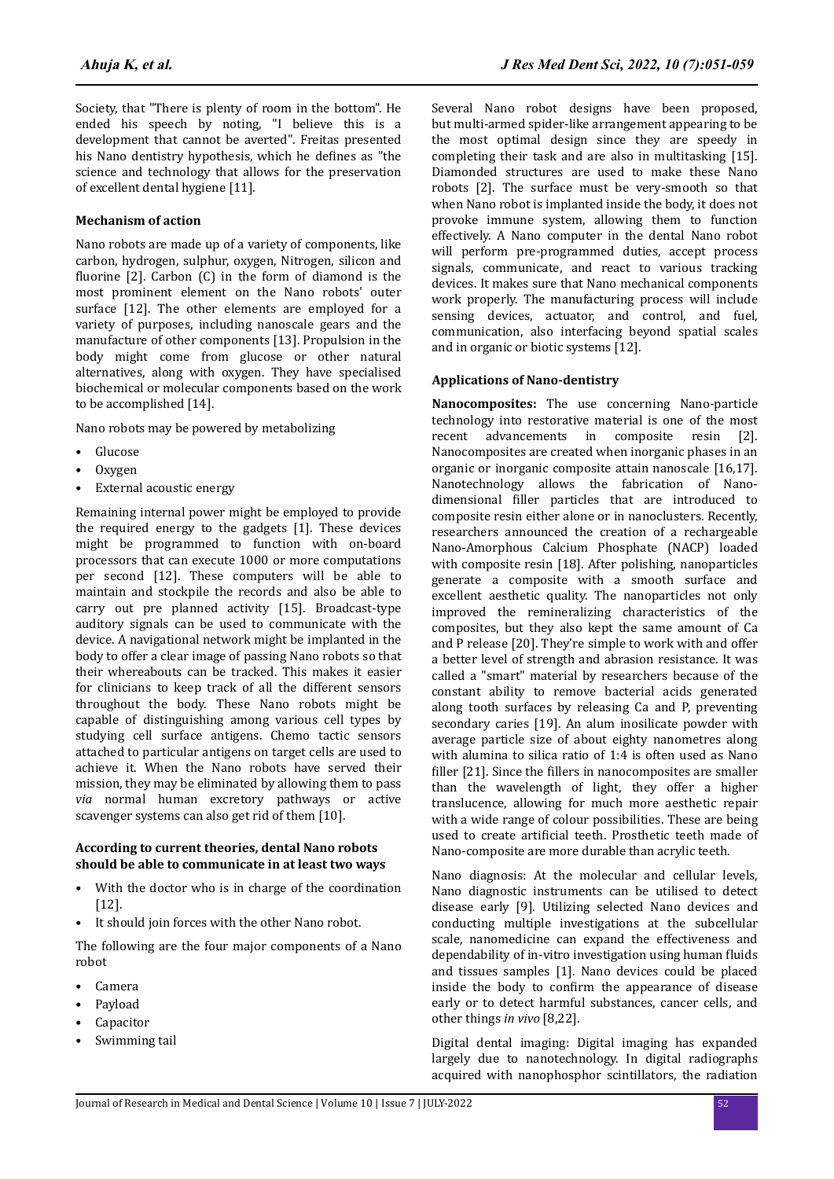Society, that "There is plenty of room in the bottom". He ended his speech by noting, "I believe this is a development that cannot be averted". Freitas presented his Nano dentistry hypothesis, which he defines as "the science and technology that allows for the preservation of excellent dental hygiene [11].

## **Mechanism of action**

Nano robots are made up of a variety of components, like carbon, hydrogen, sulphur, oxygen, Nitrogen, silicon and fluorine  $[2]$ . Carbon  $(C)$  in the form of diamond is the most prominent element on the Nano robots' outer surface [12]. The other elements are employed for a variety of purposes, including nanoscale gears and the manufacture of other components [13]. Propulsion in the body might come from glucose or other natural alternatives, along with oxygen. They have specialised biochemical or molecular components based on the work to be accomplished [14].

Nano robots may be powered by metabolizing

- Glucose
- Oxygen
- External acoustic energy

Remaining internal power might be employed to provide the required energy to the gadgets [1]. These devices might be programmed to function with on-board processors that can execute 1000 or more computations per second [12]. These computers will be able to maintain and stockpile the records and also be able to carry out pre planned activity [15]. Broadcast-type auditory signals can be used to communicate with the device. A navigational network might be implanted in the body to offer a clear image of passing Nano robots so that their whereabouts can be tracked. This makes it easier for clinicians to keep track of all the different sensors throughout the body. These Nano robots might be capable of distinguishing among various cell types by studying cell surface antigens. Chemo tactic sensors attached to particular antigens on target cells are used to achieve it. When the Nano robots have served their mission, they may be eliminated by allowing them to pass *via* normal human excretory pathways or active scavenger systems can also get rid of them [10].

## **According to current theories, dental Nano robots should be able to communicate in at least two ways**

- With the doctor who is in charge of the coordination [12].
- It should join forces with the other Nano robot.

The following are the four major components of a Nano robot

- Camera
- Payload
- **Capacitor**
- Swimming tail

Several Nano robot designs have been proposed, but multi-armed spider-like arrangement appearing to be the most optimal design since they are speedy in completing their task and are also in multitasking [15]. Diamonded structures are used to make these Nano robots [2]. The surface must be very-smooth so that when Nano robot is implanted inside the body, it does not provoke immune system, allowing them to function effectively. A Nano computer in the dental Nano robot will perform pre-programmed duties, accept process signals, communicate, and react to various tracking devices. It makes sure that Nano mechanical components work properly. The manufacturing process will include sensing devices, actuator, and control, and fuel, communication, also interfacing beyond spatial scales and in organic or biotic systems [12].

## **Applications of Nano-dentistry**

**Nanocomposites:** The use concerning Nano-particle technology into restorative material is one of the most recent advancements in composite resin [2]. Nanocomposites are created when inorganic phases in an organic or inorganic composite attain nanoscale [16,17]. Nanotechnology allows the fabrication of Nanodimensional filler particles that are introduced to composite resin either alone or in nanoclusters. Recently, researchers announced the creation of a rechargeable Nano-Amorphous Calcium Phosphate (NACP) loaded with composite resin [18]. After polishing, nanoparticles generate a composite with a smooth surface and excellent aesthetic quality. The nanoparticles not only improved the remineralizing characteristics of the composites, but they also kept the same amount of Ca and P release [20]. They're simple to work with and offer a better level of strength and abrasion resistance. It was called a "smart" material by researchers because of the constant ability to remove bacterial acids generated along tooth surfaces by releasing Ca and P, preventing secondary caries [19]. An alum inosilicate powder with average particle size of about eighty nanometres along with alumina to silica ratio of 1:4 is often used as Nano filler [21]. Since the fillers in nanocomposites are smaller than the wavelength of light, they offer a higher translucence, allowing for much more aesthetic repair with a wide range of colour possibilities. These are being used to create artificial teeth. Prosthetic teeth made of Nano-composite are more durable than acrylic teeth.

Nano diagnosis: At the molecular and cellular levels, Nano diagnostic instruments can be utilised to detect disease early [9]. Utilizing selected Nano devices and conducting multiple investigations at the subcellular scale, nanomedicine can expand the effectiveness and dependability of in-vitro investigation using human fluids and tissues samples [1]. Nano devices could be placed inside the body to confirm the appearance of disease early or to detect harmful substances, cancer cells, and other things *in vivo* [8,22].

Digital dental imaging: Digital imaging has expanded largely due to nanotechnology. In digital radiographs acquired with nanophosphor scintillators, the radiation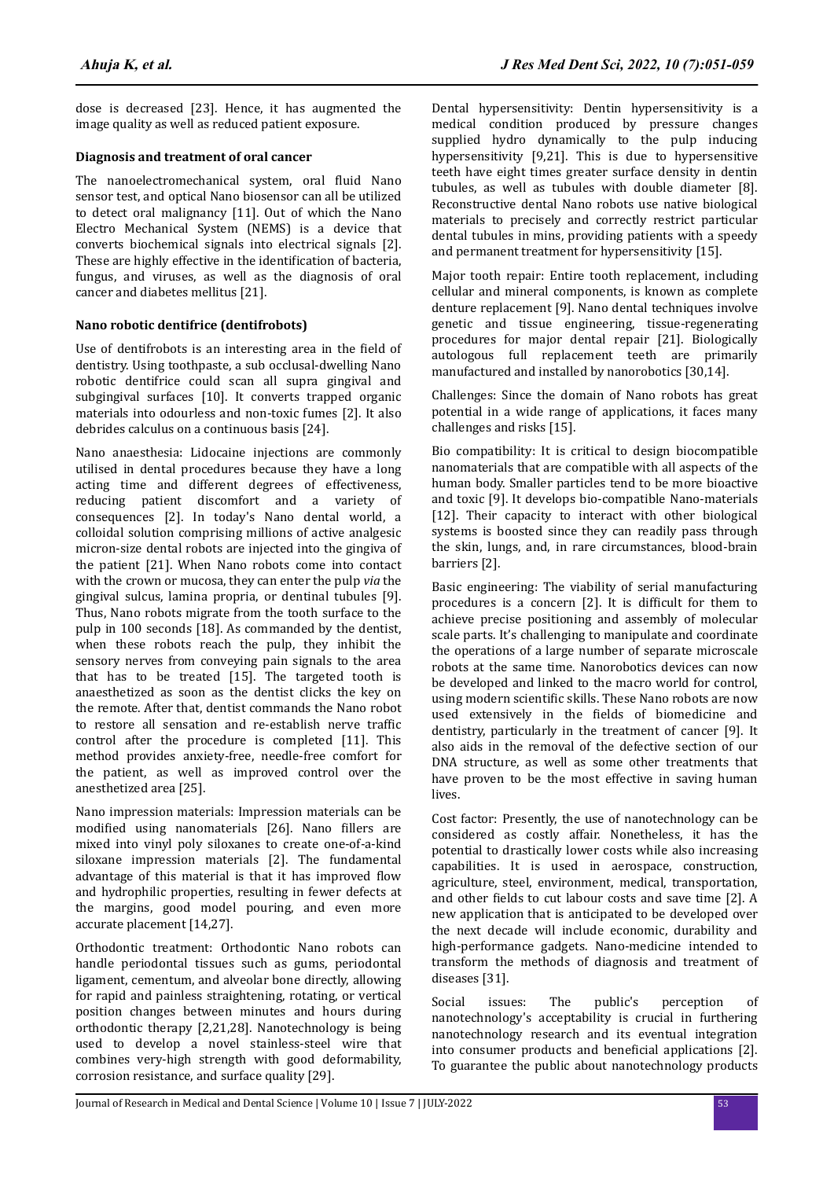dose is decreased [23]. Hence, it has augmented the image quality as well as reduced patient exposure.

## **Diagnosis and treatment of oral cancer**

The nanoelectromechanical system, oral fluid Nano sensor test, and optical Nano biosensor can all be utilized to detect oral malignancy [11]. Out of which the Nano Electro Mechanical System (NEMS) is a device that converts biochemical signals into electrical signals [2]. These are highly effective in the identification of bacteria, fungus, and viruses, as well as the diagnosis of oral cancer and diabetes mellitus [21].

## **Nano robotic dentifrice (dentifrobots)**

Use of dentifrobots is an interesting area in the field of dentistry. Using toothpaste, a sub occlusal-dwelling Nano robotic dentifrice could scan all supra gingival and subgingival surfaces [10]. It converts trapped organic materials into odourless and non-toxic fumes [2]. It also debrides calculus on a continuous basis [24].

Nano anaesthesia: Lidocaine injections are commonly utilised in dental procedures because they have a long acting time and different degrees of effectiveness, reducing patient discomfort and a variety of consequences [2]. In today's Nano dental world, a colloidal solution comprising millions of active analgesic micron-size dental robots are injected into the gingiva of the patient [21]. When Nano robots come into contact with the crown or mucosa, they can enter the pulp *via* the gingival sulcus, lamina propria, or dentinal tubules [9]. Thus, Nano robots migrate from the tooth surface to the pulp in 100 seconds [18]. As commanded by the dentist, when these robots reach the pulp, they inhibit the sensory nerves from conveying pain signals to the area that has to be treated [15]. The targeted tooth is anaesthetized as soon as the dentist clicks the key on the remote. After that, dentist commands the Nano robot to restore all sensation and re-establish nerve traffic control after the procedure is completed [11]. This method provides anxiety-free, needle-free comfort for the patient, as well as improved control over the anesthetized area [25].

Nano impression materials: Impression materials can be modified using nanomaterials [26]. Nano fillers are mixed into vinyl poly siloxanes to create one-of-a-kind siloxane impression materials [2]. The fundamental advantage of this material is that it has improved flow and hydrophilic properties, resulting in fewer defects at the margins, good model pouring, and even more accurate placement [14,27].

Orthodontic treatment: Orthodontic Nano robots can handle periodontal tissues such as gums, periodontal ligament, cementum, and alveolar bone directly, allowing for rapid and painless straightening, rotating, or vertical position changes between minutes and hours during orthodontic therapy [2,21,28]. Nanotechnology is being used to develop a novel stainless-steel wire that combines very-high strength with good deformability, corrosion resistance, and surface quality [29].

Dental hypersensitivity: Dentin hypersensitivity is a medical condition produced by pressure changes supplied hydro dynamically to the pulp inducing hypersensitivity [9,21]. This is due to hypersensitive teeth have eight times greater surface density in dentin tubules, as well as tubules with double diameter [8]. Reconstructive dental Nano robots use native biological materials to precisely and correctly restrict particular dental tubules in mins, providing patients with a speedy and permanent treatment for hypersensitivity [15].

Major tooth repair: Entire tooth replacement, including cellular and mineral components, is known as complete denture replacement [9]. Nano dental techniques involve genetic and tissue engineering, tissue-regenerating procedures for major dental repair [21]. Biologically autologous full replacement teeth are primarily manufactured and installed by nanorobotics [30,14].

Challenges: Since the domain of Nano robots has great potential in a wide range of applications, it faces many challenges and risks [15].

Bio compatibility: It is critical to design biocompatible nanomaterials that are compatible with all aspects of the human body. Smaller particles tend to be more bioactive and toxic [9]. It develops bio-compatible Nano-materials [12]. Their capacity to interact with other biological systems is boosted since they can readily pass through the skin, lungs, and, in rare circumstances, blood-brain barriers [2].

Basic engineering: The viability of serial manufacturing procedures is a concern  $[2]$ . It is difficult for them to achieve precise positioning and assembly of molecular scale parts. It's challenging to manipulate and coordinate the operations of a large number of separate microscale robots at the same time. Nanorobotics devices can now be developed and linked to the macro world for control, using modern scientific skills. These Nano robots are now used extensively in the fields of biomedicine and dentistry, particularly in the treatment of cancer [9]. It also aids in the removal of the defective section of our DNA structure, as well as some other treatments that have proven to be the most effective in saving human lives.

Cost factor: Presently, the use of nanotechnology can be considered as costly affair. Nonetheless, it has the potential to drastically lower costs while also increasing capabilities. It is used in aerospace, construction, agriculture, steel, environment, medical, transportation, and other fields to cut labour costs and save time [2]. A new application that is anticipated to be developed over the next decade will include economic, durability and high-performance gadgets. Nano-medicine intended to transform the methods of diagnosis and treatment of diseases [31].

Social issues: The public's perception of nanotechnology's acceptability is crucial in furthering nanotechnology research and its eventual integration into consumer products and beneficial applications [2]. To guarantee the public about nanotechnology products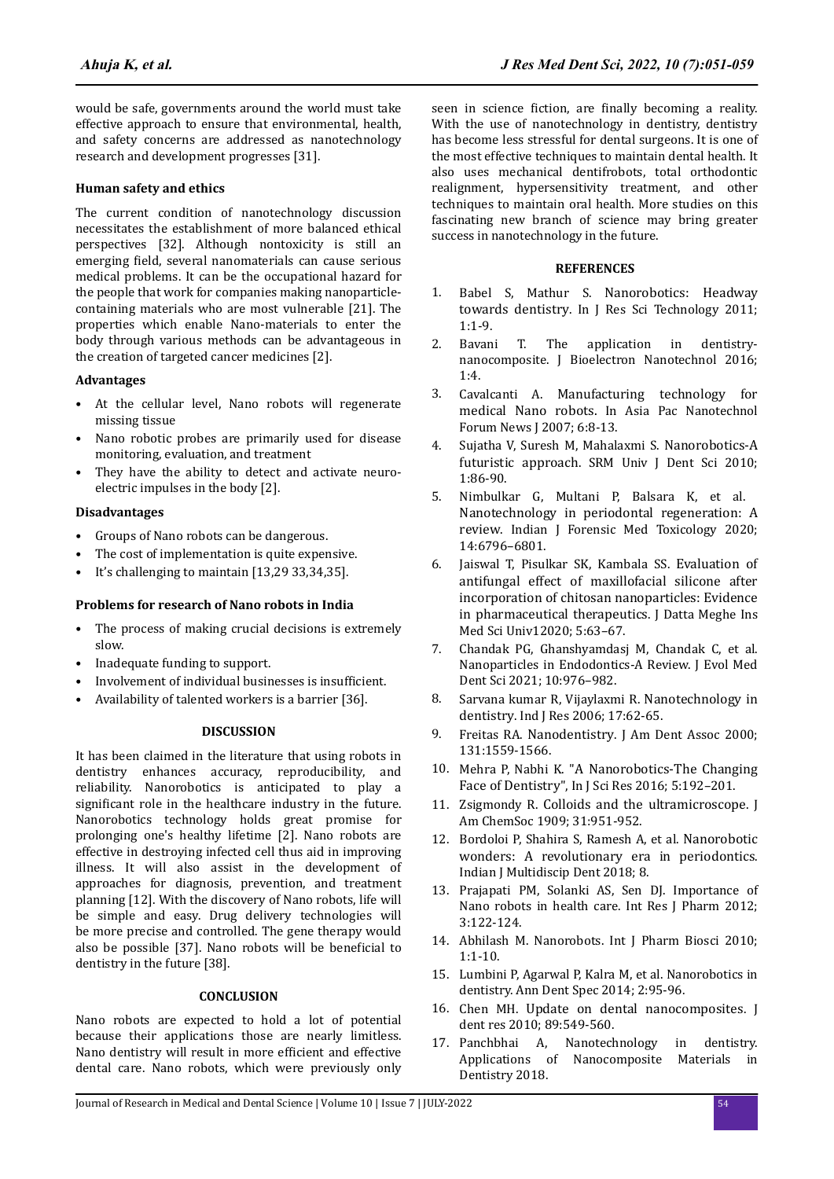would be safe, governments around the world must take effective approach to ensure that environmental, health, and safety concerns are addressed as nanotechnology research and development progresses [31].

## **Human safety and ethics**

The current condition of nanotechnology discussion necessitates the establishment of more balanced ethical perspectives [32]. Although nontoxicity is still an emerging field, several nanomaterials can cause serious medical problems. It can be the occupational hazard for the people that work for companies making nanoparticlecontaining materials who are most vulnerable [21]. The properties which enable Nano-materials to enter the body through various methods can be advantageous in the creation of targeted cancer medicines [2].

## **Advantages**

- At the cellular level, Nano robots will regenerate missing tissue
- Nano robotic probes are primarily used for disease monitoring, evaluation, and treatment
- They have the ability to detect and activate neuroelectric impulses in the body [2].

## **Disadvantages**

- Groups of Nano robots can be dangerous.
- The cost of implementation is quite expensive.
- It's challenging to maintain [13,29 33,34,35].

## **Problems for research of Nano robots in India**

- The process of making crucial decisions is extremely slow.
- Inadequate funding to support.
- Involvement of individual businesses is insufficient.
- Availability of talented workers is a barrier [36].

## **DISCUSSION**

It has been claimed in the literature that using robots in dentistry enhances accuracy, reproducibility, and reliability. Nanorobotics is anticipated to play a significant role in the healthcare industry in the future. Nanorobotics technology holds great promise for prolonging one's healthy lifetime [2]. Nano robots are effective in destroying infected cell thus aid in improving illness. It will also assist in the development of approaches for diagnosis, prevention, and treatment planning [12]. With the discovery of Nano robots, life will be simple and easy. Drug delivery technologies will be more precise and controlled. The gene therapy would also be possible [37]. Nano robots will be beneficial to dentistry in the future [38].

## **CONCLUSION**

Nano robots are expected to hold a lot of potential because their applications those are nearly limitless. Nano dentistry will result in more efficient and effective dental care. Nano robots, which were previously only seen in science fiction, are finally becoming a reality. With the use of nanotechnology in dentistry, dentistry has become less stressful for dental surgeons. It is one of the most effective techniques to maintain dental health. It also uses mechanical dentifrobots, total orthodontic realignment, hypersensitivity treatment, and other techniques to maintain oral health. More studies on this fascinating new branch of science may bring greater success in nanotechnology in the future.

#### **REFERENCES**

- 1. Babel S, Mathur S. [Nanorobotics: Headway](https://ijrst.com/admin/upload/Dec_2011_Dr.%20Shashank%20Babel.pdf) [towards dentistry](https://ijrst.com/admin/upload/Dec_2011_Dr.%20Shashank%20Babel.pdf). In J Res Sci Technology 2011; 1:1-9.
- 2. Bavani T. The application in dentistrynanocomposite. J Bioelectron Nanotechnol 2016; 1:4.
- 3. Cavalcanti A. [Manufacturing technology for](http://www.nanorobotdesign.com/article/manufacturing.pdf) [medical Nano robots.](http://www.nanorobotdesign.com/article/manufacturing.pdf) In Asia Pac Nanotechnol Forum News J 2007; 6:8-13.
- 4. Sujatha V, Suresh M, Mahalaxmi S. [Nanorobotics-A](https://www.srmjrds.in/article.asp?issn=0976-433X;year=2010;volume=1;issue=1;spage=86;epage=90;aulast=Sujatha;type=0) [futuristic approach](https://www.srmjrds.in/article.asp?issn=0976-433X;year=2010;volume=1;issue=1;spage=86;epage=90;aulast=Sujatha;type=0). SRM Univ J Dent Sci 2010; 1:86-90.
- 5. Nimbulkar G, Multani P, Balsara K, et al. [Nanotechnology in periodontal regeneration: A](https://medicopublication.com/index.php/ijfmt/article/view/12687) [review](https://medicopublication.com/index.php/ijfmt/article/view/12687). Indian J Forensic Med Toxicology 2020; 14:6796–6801.
- 6. Jaiswal T, Pisulkar SK, Kambala SS. [Evaluation of](http://www.journaldmims.com/article.asp?issn=0974-3901;year=2020;volume=15;issue=1;spage=63;epage=67;aulast=Jaiswal) [antifungal effect of maxillofacial silicone after](http://www.journaldmims.com/article.asp?issn=0974-3901;year=2020;volume=15;issue=1;spage=63;epage=67;aulast=Jaiswal) [incorporation of chitosan nanoparticles: Evidence](http://www.journaldmims.com/article.asp?issn=0974-3901;year=2020;volume=15;issue=1;spage=63;epage=67;aulast=Jaiswal) [in pharmaceutical therapeutics](http://www.journaldmims.com/article.asp?issn=0974-3901;year=2020;volume=15;issue=1;spage=63;epage=67;aulast=Jaiswal). J Datta Meghe Ins Med Sci Univ12020; 5:63–67.
- 7. Chandak PG, Ghanshyamdasj M, Chandak C, et al. Nanoparticles in Endodontics-A Review. J Evol Med Dent Sci 2021; 10:976–982.
- 8. Sarvana kumar R, Vijaylaxmi R. [Nanotechnology in](https://www.ijdr.in/article.asp?issn=0970-9290;year=2006;volume=17;issue=2;spage=62;epage=5;aulast=Kumar) [dentistry](https://www.ijdr.in/article.asp?issn=0970-9290;year=2006;volume=17;issue=2;spage=62;epage=5;aulast=Kumar). Ind J Res 2006; 17:62-65.
- 9. Freitas RA. [Nanodentistry](https://linkinghub.elsevier.com/retrieve/pii/S0002817714651801). J Am Dent Assoc 2000; 131:1559-1566.
- 10. Mehra P, Nabhi K. "[A Nanorobotics-The Changing](https://www.semanticscholar.org/paper/A-Nanorobotics-The-Changing-Face-of-Dentistry-Dr.Mehra-Nabhi/39760777efa2b98fa6003a1e59aec8d8b548a31a) [Face of Dentistry](https://www.semanticscholar.org/paper/A-Nanorobotics-The-Changing-Face-of-Dentistry-Dr.Mehra-Nabhi/39760777efa2b98fa6003a1e59aec8d8b548a31a)", In J Sci Res 2016; 5:192–201.
- 11. Zsigmondy R. [Colloids and the ultramicroscope](https://pubs.acs.org/doi/abs/10.1021/ja01938a017). J Am ChemSoc 1909; 31:951-952.
- 12. Bordoloi P, Shahira S, Ramesh A, et al. [Nanorobotic](https://www.ijmdent.com/article.asp?issn=2229-6360;year=2018;volume=8;issue=2;spage=101;epage=105;aulast=Bordoloi) [wonders: A revolutionary era in periodontics](https://www.ijmdent.com/article.asp?issn=2229-6360;year=2018;volume=8;issue=2;spage=101;epage=105;aulast=Bordoloi). Indian J Multidiscip Dent 2018; 8.
- 13. Prajapati PM, Solanki AS, Sen DJ. Importance of Nano robots in health care. Int Res J Pharm 2012; 3:122-124.
- 14. Abhilash M. Nanorobots. Int J Pharm Biosci 2010; 1:1-10.
- 15. Lumbini P, Agarwal P, Kalra M, et al. Nanorobotics in dentistry. Ann Dent Spec 2014; 2:95-96.
- 16. Chen MH. [Update on dental nanocomposites](https://journals.sagepub.com/doi/10.1177/0022034510363765). J dent res 2010; 89:549-560.
- 17. Panchbhai A, Nanotechnology in dentistry. Applications of Nanocomposite Materials in Dentistry 2018.